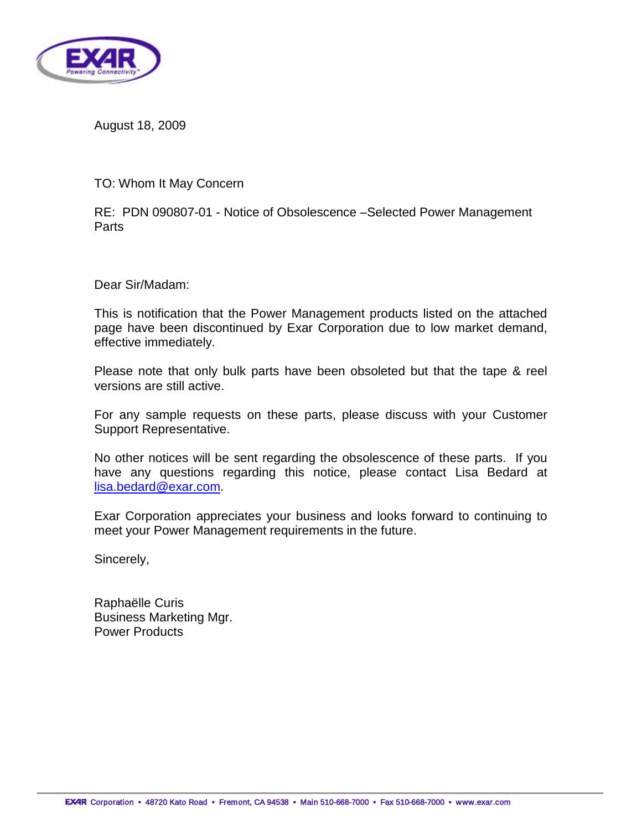

August 18, 2009

TO: Whom It May Concern

RE: PDN 090807-01 - Notice of Obsolescence –Selected Power Management Parts

Dear Sir/Madam:

This is notification that the Power Management products listed on the attached page have been discontinued by Exar Corporation due to low market demand, effective immediately.

Please note that only bulk parts have been obsoleted but that the tape & reel versions are still active.

For any sample requests on these parts, please discuss with your Customer Support Representative.

No other notices will be sent regarding the obsolescence of these parts. If you have any questions regarding this notice, please contact Lisa Bedard at [lisa.bedard@exar.com.](mailto:lisa.bedard@exar.com)

Exar Corporation appreciates your business and looks forward to continuing to meet your Power Management requirements in the future.

Sincerely,

Raphaëlle Curis Business Marketing Mgr. Power Products